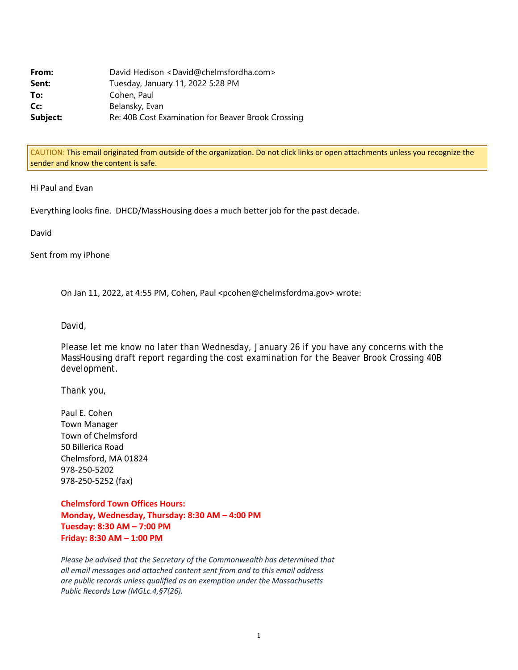| From:    | David Hedison <david@chelmsfordha.com></david@chelmsfordha.com> |
|----------|-----------------------------------------------------------------|
| Sent:    | Tuesday, January 11, 2022 5:28 PM                               |
| To:      | Cohen, Paul                                                     |
| Cc:      | Belansky, Evan                                                  |
| Subject: | Re: 40B Cost Examination for Beaver Brook Crossing              |

CAUTION: This email originated from outside of the organization. Do not click links or open attachments unless you recognize the sender and know the content is safe.

Hi Paul and Evan

Everything looks fine. DHCD/MassHousing does a much better job for the past decade.

David

Sent from my iPhone

On Jan 11, 2022, at 4:55 PM, Cohen, Paul <pcohen@chelmsfordma.gov> wrote:

David,

Please let me know no later than Wednesday, January 26 if you have any concerns with the MassHousing draft report regarding the cost examination for the Beaver Brook Crossing 40B development.

Thank you,

Paul E. Cohen Town Manager Town of Chelmsford 50 Billerica Road Chelmsford, MA 01824 978‐250‐5202 978‐250‐5252 (fax)

**Chelmsford Town Offices Hours: Monday, Wednesday, Thursday: 8:30 AM – 4:00 PM Tuesday: 8:30 AM – 7:00 PM Friday: 8:30 AM – 1:00 PM**

*Please be advised that the Secretary of the Commonwealth has determined that all email messages and attached content sent from and to this email address are public records unless qualified as an exemption under the Massachusetts Public Records Law (MGLc.4,§7(26).*